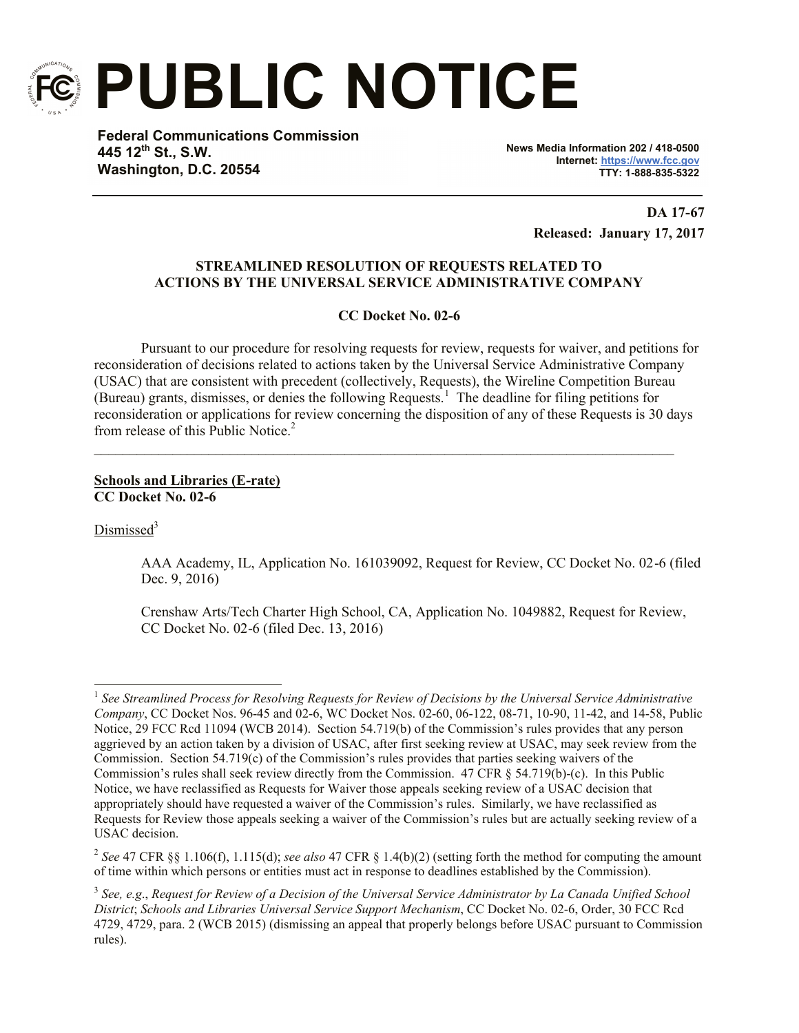

**PUBLIC NOTICE**

**Federal Communications Commission 445 12th St., S.W. Washington, D.C. 20554**

**News Media Information 202 / 418-0500 Internet: https://www.fcc.gov TTY: 1-888-835-5322**

> **DA 17-67 Released: January 17, 2017**

# **STREAMLINED RESOLUTION OF REQUESTS RELATED TO ACTIONS BY THE UNIVERSAL SERVICE ADMINISTRATIVE COMPANY**

**CC Docket No. 02-6**

Pursuant to our procedure for resolving requests for review, requests for waiver, and petitions for reconsideration of decisions related to actions taken by the Universal Service Administrative Company (USAC) that are consistent with precedent (collectively, Requests), the Wireline Competition Bureau (Bureau) grants, dismisses, or denies the following Requests.<sup>1</sup> The deadline for filing petitions for reconsideration or applications for review concerning the disposition of any of these Requests is 30 days from release of this Public Notice.<sup>2</sup>

 $\mathcal{L}_\mathcal{L} = \{ \mathcal{L}_\mathcal{L} = \{ \mathcal{L}_\mathcal{L} = \{ \mathcal{L}_\mathcal{L} = \{ \mathcal{L}_\mathcal{L} = \{ \mathcal{L}_\mathcal{L} = \{ \mathcal{L}_\mathcal{L} = \{ \mathcal{L}_\mathcal{L} = \{ \mathcal{L}_\mathcal{L} = \{ \mathcal{L}_\mathcal{L} = \{ \mathcal{L}_\mathcal{L} = \{ \mathcal{L}_\mathcal{L} = \{ \mathcal{L}_\mathcal{L} = \{ \mathcal{L}_\mathcal{L} = \{ \mathcal{L}_\mathcal{$ 

## **Schools and Libraries (E-rate) CC Docket No. 02-6**

Dismissed<sup>3</sup>

AAA Academy, IL, Application No. 161039092, Request for Review, CC Docket No. 02-6 (filed Dec. 9, 2016)

Crenshaw Arts/Tech Charter High School, CA, Application No. 1049882, Request for Review, CC Docket No. 02-6 (filed Dec. 13, 2016)

l <sup>1</sup> See Streamlined Process for Resolving Requests for Review of Decisions by the Universal Service Administrative *Company*, CC Docket Nos. 96-45 and 02-6, WC Docket Nos. 02-60, 06-122, 08-71, 10-90, 11-42, and 14-58, Public Notice, 29 FCC Rcd 11094 (WCB 2014). Section 54.719(b) of the Commission's rules provides that any person aggrieved by an action taken by a division of USAC, after first seeking review at USAC, may seek review from the Commission. Section 54.719(c) of the Commission's rules provides that parties seeking waivers of the Commission's rules shall seek review directly from the Commission. 47 CFR § 54.719(b)-(c). In this Public Notice, we have reclassified as Requests for Waiver those appeals seeking review of a USAC decision that appropriately should have requested a waiver of the Commission's rules. Similarly, we have reclassified as Requests for Review those appeals seeking a waiver of the Commission's rules but are actually seeking review of a USAC decision.

<sup>2</sup> *See* 47 CFR §§ 1.106(f), 1.115(d); *see also* 47 CFR § 1.4(b)(2) (setting forth the method for computing the amount of time within which persons or entities must act in response to deadlines established by the Commission).

<sup>3</sup> *See, e.g*., *Request for Review of a Decision of the Universal Service Administrator by La Canada Unified School District*; *Schools and Libraries Universal Service Support Mechanism*, CC Docket No. 02-6, Order, 30 FCC Rcd 4729, 4729, para. 2 (WCB 2015) (dismissing an appeal that properly belongs before USAC pursuant to Commission rules).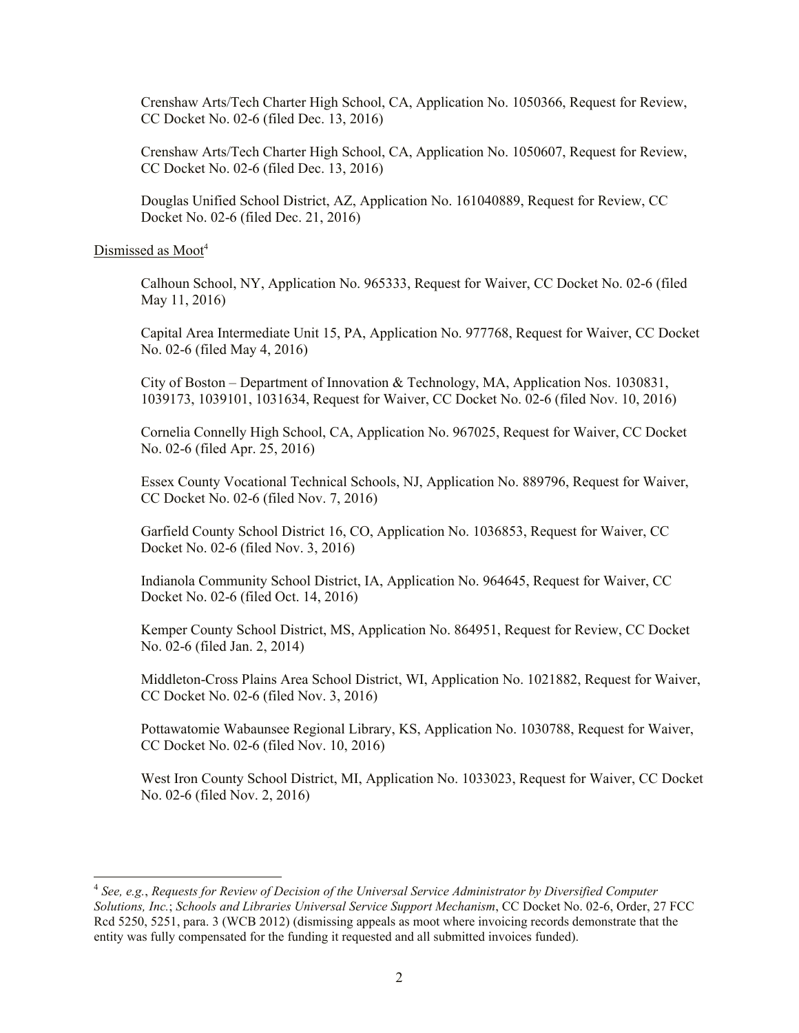Crenshaw Arts/Tech Charter High School, CA, Application No. 1050366, Request for Review, CC Docket No. 02-6 (filed Dec. 13, 2016)

Crenshaw Arts/Tech Charter High School, CA, Application No. 1050607, Request for Review, CC Docket No. 02-6 (filed Dec. 13, 2016)

Douglas Unified School District, AZ, Application No. 161040889, Request for Review, CC Docket No. 02-6 (filed Dec. 21, 2016)

## Dismissed as Moot<sup>4</sup>

 $\overline{a}$ 

Calhoun School, NY, Application No. 965333, Request for Waiver, CC Docket No. 02-6 (filed May 11, 2016)

Capital Area Intermediate Unit 15, PA, Application No. 977768, Request for Waiver, CC Docket No. 02-6 (filed May 4, 2016)

City of Boston – Department of Innovation & Technology, MA, Application Nos. 1030831, 1039173, 1039101, 1031634, Request for Waiver, CC Docket No. 02-6 (filed Nov. 10, 2016)

Cornelia Connelly High School, CA, Application No. 967025, Request for Waiver, CC Docket No. 02-6 (filed Apr. 25, 2016)

Essex County Vocational Technical Schools, NJ, Application No. 889796, Request for Waiver, CC Docket No. 02-6 (filed Nov. 7, 2016)

Garfield County School District 16, CO, Application No. 1036853, Request for Waiver, CC Docket No. 02-6 (filed Nov. 3, 2016)

Indianola Community School District, IA, Application No. 964645, Request for Waiver, CC Docket No. 02-6 (filed Oct. 14, 2016)

Kemper County School District, MS, Application No. 864951, Request for Review, CC Docket No. 02-6 (filed Jan. 2, 2014)

Middleton-Cross Plains Area School District, WI, Application No. 1021882, Request for Waiver, CC Docket No. 02-6 (filed Nov. 3, 2016)

Pottawatomie Wabaunsee Regional Library, KS, Application No. 1030788, Request for Waiver, CC Docket No. 02-6 (filed Nov. 10, 2016)

West Iron County School District, MI, Application No. 1033023, Request for Waiver, CC Docket No. 02-6 (filed Nov. 2, 2016)

<sup>4</sup> *See, e.g.*, *Requests for Review of Decision of the Universal Service Administrator by Diversified Computer Solutions, Inc.*; *Schools and Libraries Universal Service Support Mechanism*, CC Docket No. 02-6, Order, 27 FCC Rcd 5250, 5251, para. 3 (WCB 2012) (dismissing appeals as moot where invoicing records demonstrate that the entity was fully compensated for the funding it requested and all submitted invoices funded).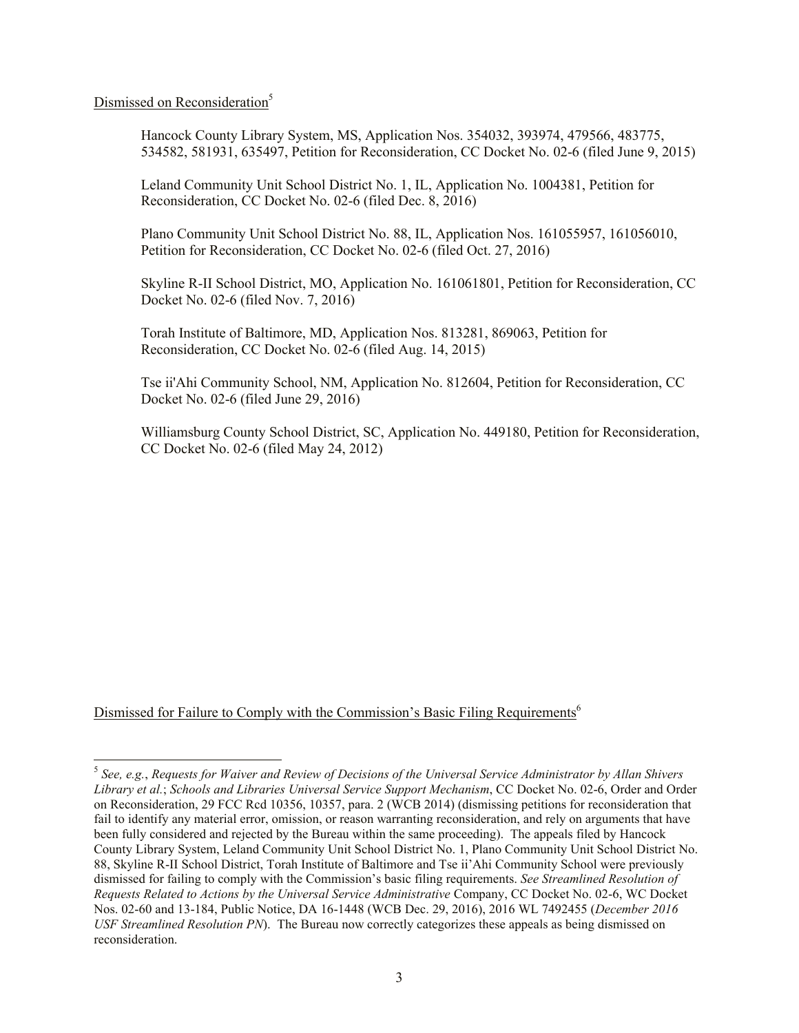## Dismissed on Reconsideration<sup>5</sup>

 $\overline{a}$ 

Hancock County Library System, MS, Application Nos. 354032, 393974, 479566, 483775, 534582, 581931, 635497, Petition for Reconsideration, CC Docket No. 02-6 (filed June 9, 2015)

Leland Community Unit School District No. 1, IL, Application No. 1004381, Petition for Reconsideration, CC Docket No. 02-6 (filed Dec. 8, 2016)

Plano Community Unit School District No. 88, IL, Application Nos. 161055957, 161056010, Petition for Reconsideration, CC Docket No. 02-6 (filed Oct. 27, 2016)

Skyline R-II School District, MO, Application No. 161061801, Petition for Reconsideration, CC Docket No. 02-6 (filed Nov. 7, 2016)

Torah Institute of Baltimore, MD, Application Nos. 813281, 869063, Petition for Reconsideration, CC Docket No. 02-6 (filed Aug. 14, 2015)

Tse ii'Ahi Community School, NM, Application No. 812604, Petition for Reconsideration, CC Docket No. 02-6 (filed June 29, 2016)

Williamsburg County School District, SC, Application No. 449180, Petition for Reconsideration, CC Docket No. 02-6 (filed May 24, 2012)

Dismissed for Failure to Comply with the Commission's Basic Filing Requirements<sup>6</sup>

<sup>5</sup> *See, e.g.*, *Requests for Waiver and Review of Decisions of the Universal Service Administrator by Allan Shivers Library et al.*; *Schools and Libraries Universal Service Support Mechanism*, CC Docket No. 02-6, Order and Order on Reconsideration, 29 FCC Rcd 10356, 10357, para. 2 (WCB 2014) (dismissing petitions for reconsideration that fail to identify any material error, omission, or reason warranting reconsideration, and rely on arguments that have been fully considered and rejected by the Bureau within the same proceeding). The appeals filed by Hancock County Library System, Leland Community Unit School District No. 1, Plano Community Unit School District No. 88, Skyline R-II School District, Torah Institute of Baltimore and Tse ii'Ahi Community School were previously dismissed for failing to comply with the Commission's basic filing requirements. *See Streamlined Resolution of Requests Related to Actions by the Universal Service Administrative* Company, CC Docket No. 02-6, WC Docket Nos. 02-60 and 13-184, Public Notice, DA 16-1448 (WCB Dec. 29, 2016), 2016 WL 7492455 (*December 2016 USF Streamlined Resolution PN*). The Bureau now correctly categorizes these appeals as being dismissed on reconsideration.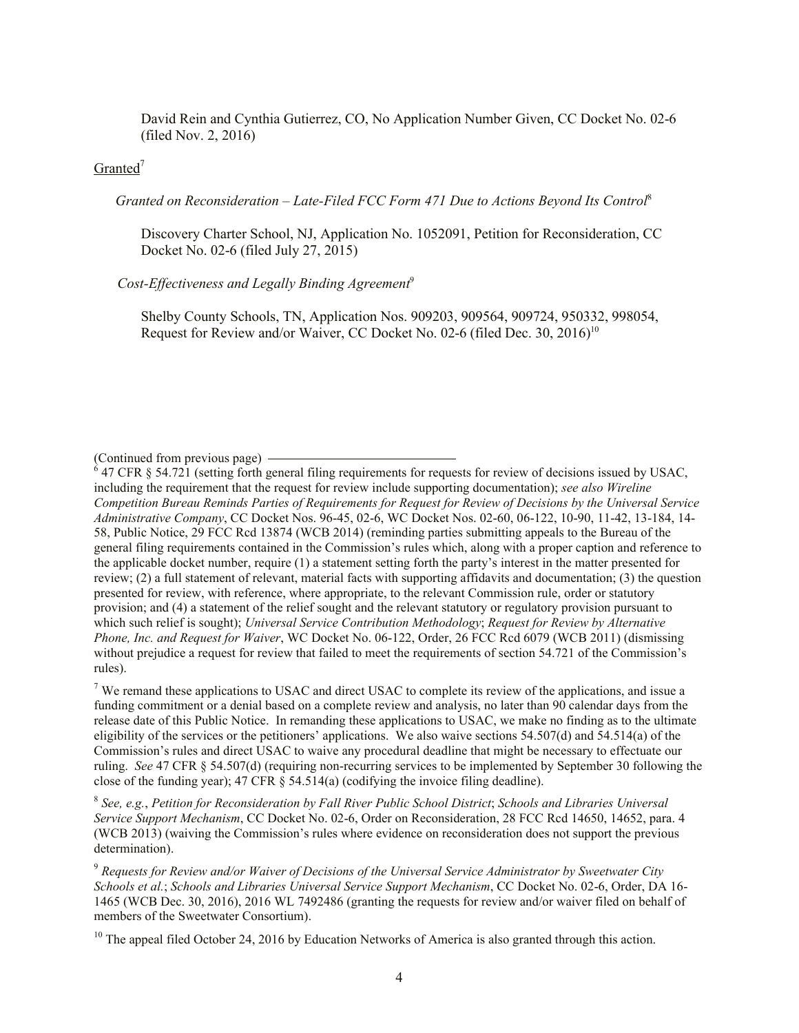David Rein and Cynthia Gutierrez, CO, No Application Number Given, CC Docket No. 02-6 (filed Nov. 2, 2016)

# Granted<sup>7</sup>

 *Granted on Reconsideration – Late-Filed FCC Form 471 Due to Actions Beyond Its Control*<sup>8</sup>

Discovery Charter School, NJ, Application No. 1052091, Petition for Reconsideration, CC Docket No. 02-6 (filed July 27, 2015)

### *Cost-Effectiveness and Legally Binding Agreement*<sup>9</sup>

Shelby County Schools, TN, Application Nos. 909203, 909564, 909724, 950332, 998054, Request for Review and/or Waiver, CC Docket No. 02-6 (filed Dec. 30, 2016)<sup>10</sup>

<sup>7</sup> We remand these applications to USAC and direct USAC to complete its review of the applications, and issue a funding commitment or a denial based on a complete review and analysis, no later than 90 calendar days from the release date of this Public Notice. In remanding these applications to USAC, we make no finding as to the ultimate eligibility of the services or the petitioners' applications. We also waive sections 54.507(d) and 54.514(a) of the Commission's rules and direct USAC to waive any procedural deadline that might be necessary to effectuate our ruling. *See* 47 CFR § 54.507(d) (requiring non-recurring services to be implemented by September 30 following the close of the funding year); 47 CFR § 54.514(a) (codifying the invoice filing deadline).

8 *See, e.g.*, *Petition for Reconsideration by Fall River Public School District*; *Schools and Libraries Universal Service Support Mechanism*, CC Docket No. 02-6, Order on Reconsideration, 28 FCC Rcd 14650, 14652, para. 4 (WCB 2013) (waiving the Commission's rules where evidence on reconsideration does not support the previous determination).

<sup>9</sup> *Requests for Review and/or Waiver of Decisions of the Universal Service Administrator by Sweetwater City Schools et al.*; *Schools and Libraries Universal Service Support Mechanism*, CC Docket No. 02-6, Order, DA 16- 1465 (WCB Dec. 30, 2016), 2016 WL 7492486 (granting the requests for review and/or waiver filed on behalf of members of the Sweetwater Consortium).

 $10$  The appeal filed October 24, 2016 by Education Networks of America is also granted through this action.

<sup>(</sup>Continued from previous page)

 $6$  47 CFR § 54.721 (setting forth general filing requirements for requests for review of decisions issued by USAC, including the requirement that the request for review include supporting documentation); *see also Wireline Competition Bureau Reminds Parties of Requirements for Request for Review of Decisions by the Universal Service Administrative Company*, CC Docket Nos. 96-45, 02-6, WC Docket Nos. 02-60, 06-122, 10-90, 11-42, 13-184, 14- 58, Public Notice, 29 FCC Rcd 13874 (WCB 2014) (reminding parties submitting appeals to the Bureau of the general filing requirements contained in the Commission's rules which, along with a proper caption and reference to the applicable docket number, require (1) a statement setting forth the party's interest in the matter presented for review; (2) a full statement of relevant, material facts with supporting affidavits and documentation; (3) the question presented for review, with reference, where appropriate, to the relevant Commission rule, order or statutory provision; and (4) a statement of the relief sought and the relevant statutory or regulatory provision pursuant to which such relief is sought); *Universal Service Contribution Methodology*; *Request for Review by Alternative Phone, Inc. and Request for Waiver*, WC Docket No. 06-122, Order, 26 FCC Rcd 6079 (WCB 2011) (dismissing without prejudice a request for review that failed to meet the requirements of section 54.721 of the Commission's rules).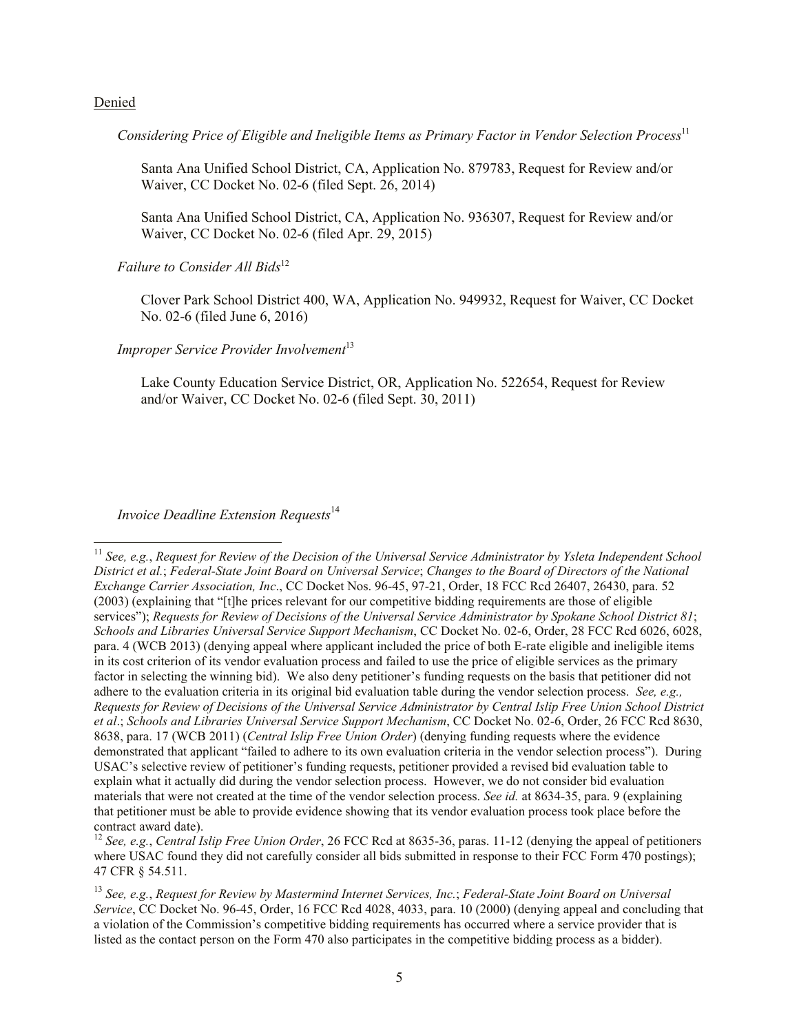#### Denied

l

*Considering Price of Eligible and Ineligible Items as Primary Factor in Vendor Selection Process*<sup>11</sup>

Santa Ana Unified School District, CA, Application No. 879783, Request for Review and/or Waiver, CC Docket No. 02-6 (filed Sept. 26, 2014)

Santa Ana Unified School District, CA, Application No. 936307, Request for Review and/or Waiver, CC Docket No. 02-6 (filed Apr. 29, 2015)

*Failure to Consider All Bids*<sup>12</sup>

Clover Park School District 400, WA, Application No. 949932, Request for Waiver, CC Docket No. 02-6 (filed June 6, 2016)

*Improper Service Provider Involvement*<sup>13</sup>

Lake County Education Service District, OR, Application No. 522654, Request for Review and/or Waiver, CC Docket No. 02-6 (filed Sept. 30, 2011)

#### *Invoice Deadline Extension Requests*<sup>14</sup>

<sup>11</sup> *See, e.g.*, *Request for Review of the Decision of the Universal Service Administrator by Ysleta Independent School District et al.*; *Federal-State Joint Board on Universal Service*; *Changes to the Board of Directors of the National Exchange Carrier Association, Inc*., CC Docket Nos. 96-45, 97-21, Order, 18 FCC Rcd 26407, 26430, para. 52 (2003) (explaining that "[t]he prices relevant for our competitive bidding requirements are those of eligible services"); *Requests for Review of Decisions of the Universal Service Administrator by Spokane School District 81*; *Schools and Libraries Universal Service Support Mechanism*, CC Docket No. 02-6, Order, 28 FCC Rcd 6026, 6028, para. 4 (WCB 2013) (denying appeal where applicant included the price of both E-rate eligible and ineligible items in its cost criterion of its vendor evaluation process and failed to use the price of eligible services as the primary factor in selecting the winning bid). We also deny petitioner's funding requests on the basis that petitioner did not adhere to the evaluation criteria in its original bid evaluation table during the vendor selection process. *See, e.g., Requests for Review of Decisions of the Universal Service Administrator by Central Islip Free Union School District et al*.; *Schools and Libraries Universal Service Support Mechanism*, CC Docket No. 02-6, Order, 26 FCC Rcd 8630, 8638, para. 17 (WCB 2011) (*Central Islip Free Union Order*) (denying funding requests where the evidence demonstrated that applicant "failed to adhere to its own evaluation criteria in the vendor selection process"). During USAC's selective review of petitioner's funding requests, petitioner provided a revised bid evaluation table to explain what it actually did during the vendor selection process. However, we do not consider bid evaluation materials that were not created at the time of the vendor selection process. *See id.* at 8634-35, para. 9 (explaining that petitioner must be able to provide evidence showing that its vendor evaluation process took place before the contract award date).

<sup>&</sup>lt;sup>12</sup> *See, e.g., Central Islip Free Union Order*, 26 FCC Rcd at 8635-36, paras. 11-12 (denying the appeal of petitioners where USAC found they did not carefully consider all bids submitted in response to their FCC Form 470 postings); 47 CFR § 54.511.

<sup>13</sup> *See, e.g.*, *Request for Review by Mastermind Internet Services, Inc.*; *Federal-State Joint Board on Universal Service*, CC Docket No. 96-45, Order, 16 FCC Rcd 4028, 4033, para. 10 (2000) (denying appeal and concluding that a violation of the Commission's competitive bidding requirements has occurred where a service provider that is listed as the contact person on the Form 470 also participates in the competitive bidding process as a bidder).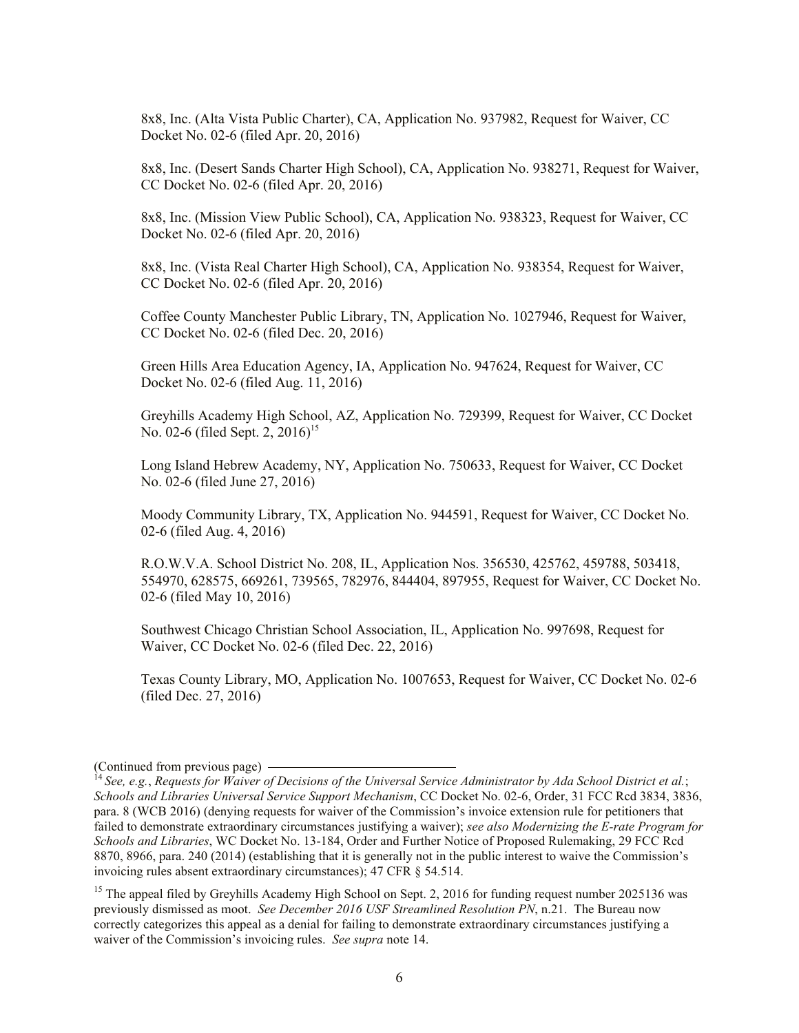8x8, Inc. (Alta Vista Public Charter), CA, Application No. 937982, Request for Waiver, CC Docket No. 02-6 (filed Apr. 20, 2016)

8x8, Inc. (Desert Sands Charter High School), CA, Application No. 938271, Request for Waiver, CC Docket No. 02-6 (filed Apr. 20, 2016)

8x8, Inc. (Mission View Public School), CA, Application No. 938323, Request for Waiver, CC Docket No. 02-6 (filed Apr. 20, 2016)

8x8, Inc. (Vista Real Charter High School), CA, Application No. 938354, Request for Waiver, CC Docket No. 02-6 (filed Apr. 20, 2016)

Coffee County Manchester Public Library, TN, Application No. 1027946, Request for Waiver, CC Docket No. 02-6 (filed Dec. 20, 2016)

Green Hills Area Education Agency, IA, Application No. 947624, Request for Waiver, CC Docket No. 02-6 (filed Aug. 11, 2016)

Greyhills Academy High School, AZ, Application No. 729399, Request for Waiver, CC Docket No. 02-6 (filed Sept. 2, 2016)<sup>15</sup>

Long Island Hebrew Academy, NY, Application No. 750633, Request for Waiver, CC Docket No. 02-6 (filed June 27, 2016)

Moody Community Library, TX, Application No. 944591, Request for Waiver, CC Docket No. 02-6 (filed Aug. 4, 2016)

R.O.W.V.A. School District No. 208, IL, Application Nos. 356530, 425762, 459788, 503418, 554970, 628575, 669261, 739565, 782976, 844404, 897955, Request for Waiver, CC Docket No. 02-6 (filed May 10, 2016)

Southwest Chicago Christian School Association, IL, Application No. 997698, Request for Waiver, CC Docket No. 02-6 (filed Dec. 22, 2016)

Texas County Library, MO, Application No. 1007653, Request for Waiver, CC Docket No. 02-6 (filed Dec. 27, 2016)

<sup>(</sup>Continued from previous page)

<sup>14</sup> *See, e.g.*, *Requests for Waiver of Decisions of the Universal Service Administrator by Ada School District et al.*; *Schools and Libraries Universal Service Support Mechanism*, CC Docket No. 02-6, Order, 31 FCC Rcd 3834, 3836, para. 8 (WCB 2016) (denying requests for waiver of the Commission's invoice extension rule for petitioners that failed to demonstrate extraordinary circumstances justifying a waiver); *see also Modernizing the E-rate Program for Schools and Libraries*, WC Docket No. 13-184, Order and Further Notice of Proposed Rulemaking, 29 FCC Rcd 8870, 8966, para. 240 (2014) (establishing that it is generally not in the public interest to waive the Commission's invoicing rules absent extraordinary circumstances); 47 CFR § 54.514.

<sup>&</sup>lt;sup>15</sup> The appeal filed by Greyhills Academy High School on Sept. 2, 2016 for funding request number 2025136 was previously dismissed as moot. *See December 2016 USF Streamlined Resolution PN*, n.21. The Bureau now correctly categorizes this appeal as a denial for failing to demonstrate extraordinary circumstances justifying a waiver of the Commission's invoicing rules. *See supra* note 14.